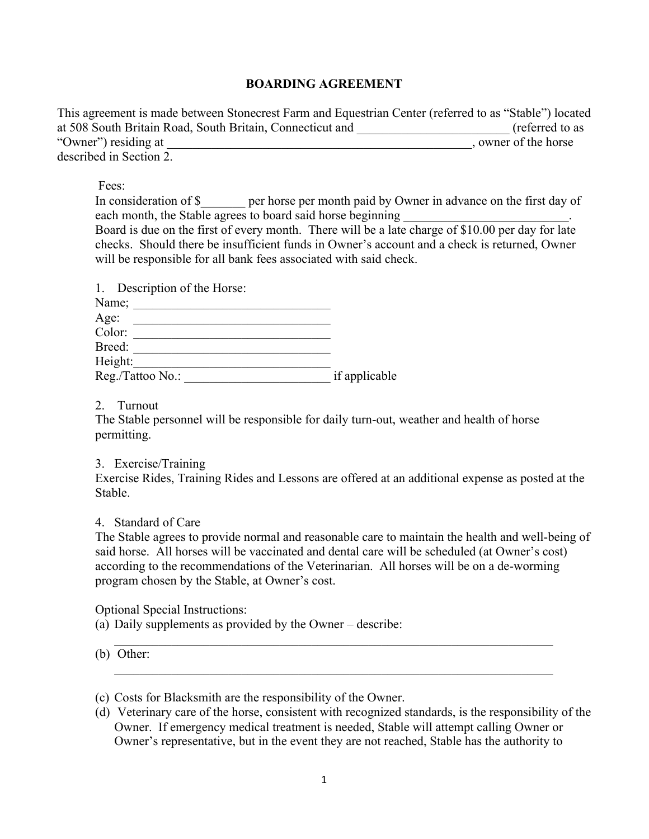## **BOARDING AGREEMENT**

This agreement is made between Stonecrest Farm and Equestrian Center (referred to as "Stable") located at 508 South Britain Road, South Britain, Connecticut and **Figure 2018** (referred to as "Owner") residing at  $\sim$ described in Section 2.

Fees:

In consideration of \$\_\_\_\_\_\_\_ per horse per month paid by Owner in advance on the first day of each month, the Stable agrees to board said horse beginning

Board is due on the first of every month. There will be a late charge of \$10.00 per day for late checks. Should there be insufficient funds in Owner's account and a check is returned, Owner will be responsible for all bank fees associated with said check.

| 1. Description of the Horse: |               |
|------------------------------|---------------|
| Name;                        |               |
| Age:                         |               |
| Color:                       |               |
| Breed:                       |               |
| Height:                      |               |
| Reg./Tattoo No.:             | if applicable |

2. Turnout

The Stable personnel will be responsible for daily turn-out, weather and health of horse permitting.

3. Exercise/Training

Exercise Rides, Training Rides and Lessons are offered at an additional expense as posted at the Stable.

4. Standard of Care

The Stable agrees to provide normal and reasonable care to maintain the health and well-being of said horse. All horses will be vaccinated and dental care will be scheduled (at Owner's cost) according to the recommendations of the Veterinarian. All horses will be on a de-worming program chosen by the Stable, at Owner's cost.

 $\mathcal{L}_\text{max} = \frac{1}{2} \sum_{i=1}^n \mathcal{L}_\text{max}(\mathbf{z}_i - \mathbf{z}_i)$ 

 $\_$  , and the contribution of the contribution of  $\mathcal{L}_\mathcal{A}$  , and the contribution of  $\mathcal{L}_\mathcal{A}$ 

Optional Special Instructions:

(a) Daily supplements as provided by the Owner – describe:

(b) Other:

<sup>(</sup>c) Costs for Blacksmith are the responsibility of the Owner.

<sup>(</sup>d) Veterinary care of the horse, consistent with recognized standards, is the responsibility of the Owner. If emergency medical treatment is needed, Stable will attempt calling Owner or Owner's representative, but in the event they are not reached, Stable has the authority to